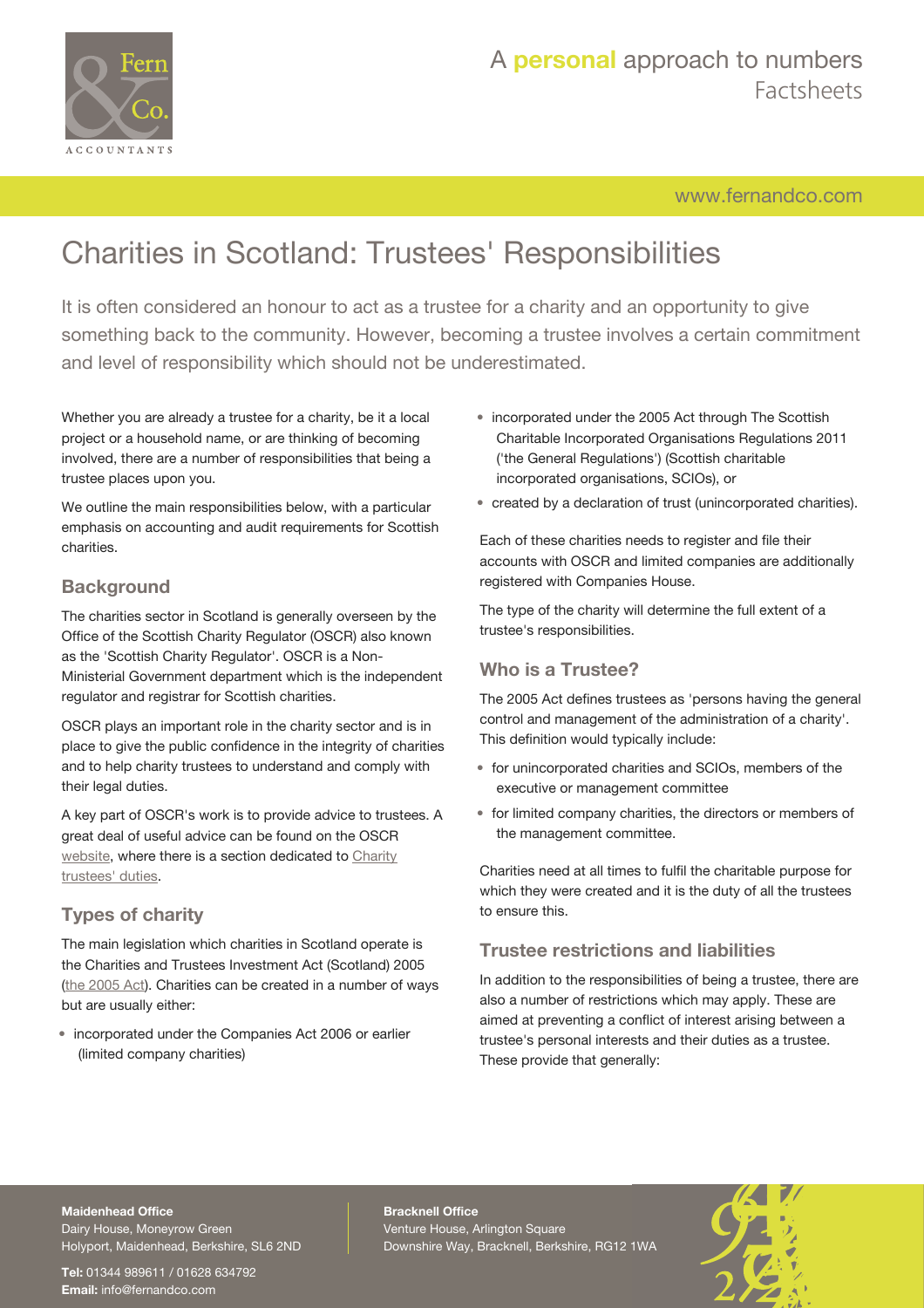

## A **personal** approach to numbers Factsheets

[www.fernandco.com](http://www.fernandco.com)

# Charities in Scotland: Trustees' Responsibilities

It is often considered an honour to act as a trustee for a charity and an opportunity to give something back to the community. However, becoming a trustee involves a certain commitment and level of responsibility which should not be underestimated.

Whether you are already a trustee for a charity, be it a local project or a household name, or are thinking of becoming involved, there are a number of responsibilities that being a trustee places upon you.

We outline the main responsibilities below, with a particular emphasis on accounting and audit requirements for Scottish charities.

### **Background**

The charities sector in Scotland is generally overseen by the Office of the Scottish Charity Regulator (OSCR) also known as the 'Scottish Charity Regulator'. OSCR is a Non-Ministerial Government department which is the independent regulator and registrar for Scottish charities.

OSCR plays an important role in the charity sector and is in place to give the public confidence in the integrity of charities and to help charity trustees to understand and comply with their legal duties.

A key part of OSCR's work is to provide advice to trustees. A great deal of useful advice can be found on the OSCR [website,](http://www.oscr.org.uk/charities) where there is a section dedicated to [Charity](http://www.oscr.org.uk/charities/managing-your-charity/trustee-duties) [trustees' duties.](http://www.oscr.org.uk/charities/managing-your-charity/trustee-duties)

## **Types of charity**

The main legislation which charities in Scotland operate is the Charities and Trustees Investment Act (Scotland) 2005 [\(the 2005 Act](http://www.legislation.gov.uk/asp/2005/10/contents)). Charities can be created in a number of ways but are usually either:

• incorporated under the Companies Act 2006 or earlier (limited company charities)

- incorporated under the 2005 Act through The Scottish Charitable Incorporated Organisations Regulations 2011 ('the General Regulations') (Scottish charitable incorporated organisations, SCIOs), or
- created by a declaration of trust (unincorporated charities).

Each of these charities needs to register and file their accounts with OSCR and limited companies are additionally registered with Companies House.

The type of the charity will determine the full extent of a trustee's responsibilities.

## **Who is a Trustee?**

The 2005 Act defines trustees as 'persons having the general control and management of the administration of a charity'. This definition would typically include:

- for unincorporated charities and SCIOs, members of the executive or management committee
- for limited company charities, the directors or members of the management committee.

Charities need at all times to fulfil the charitable purpose for which they were created and it is the duty of all the trustees to ensure this.

### **Trustee restrictions and liabilities**

In addition to the responsibilities of being a trustee, there are also a number of restrictions which may apply. These are aimed at preventing a conflict of interest arising between a trustee's personal interests and their duties as a trustee. These provide that generally:

## **Maidenhead Office**

Dairy House, Moneyrow Green Holyport, Maidenhead, Berkshire, SL6 2ND

**Tel:** 01344 989611 / 01628 634792 **Email:** [info@fernandco.com](mailto:info@fernandco.com)

**Bracknell Office** Venture House, Arlington Square Downshire Way, Bracknell, Berkshire, RG12 1WA

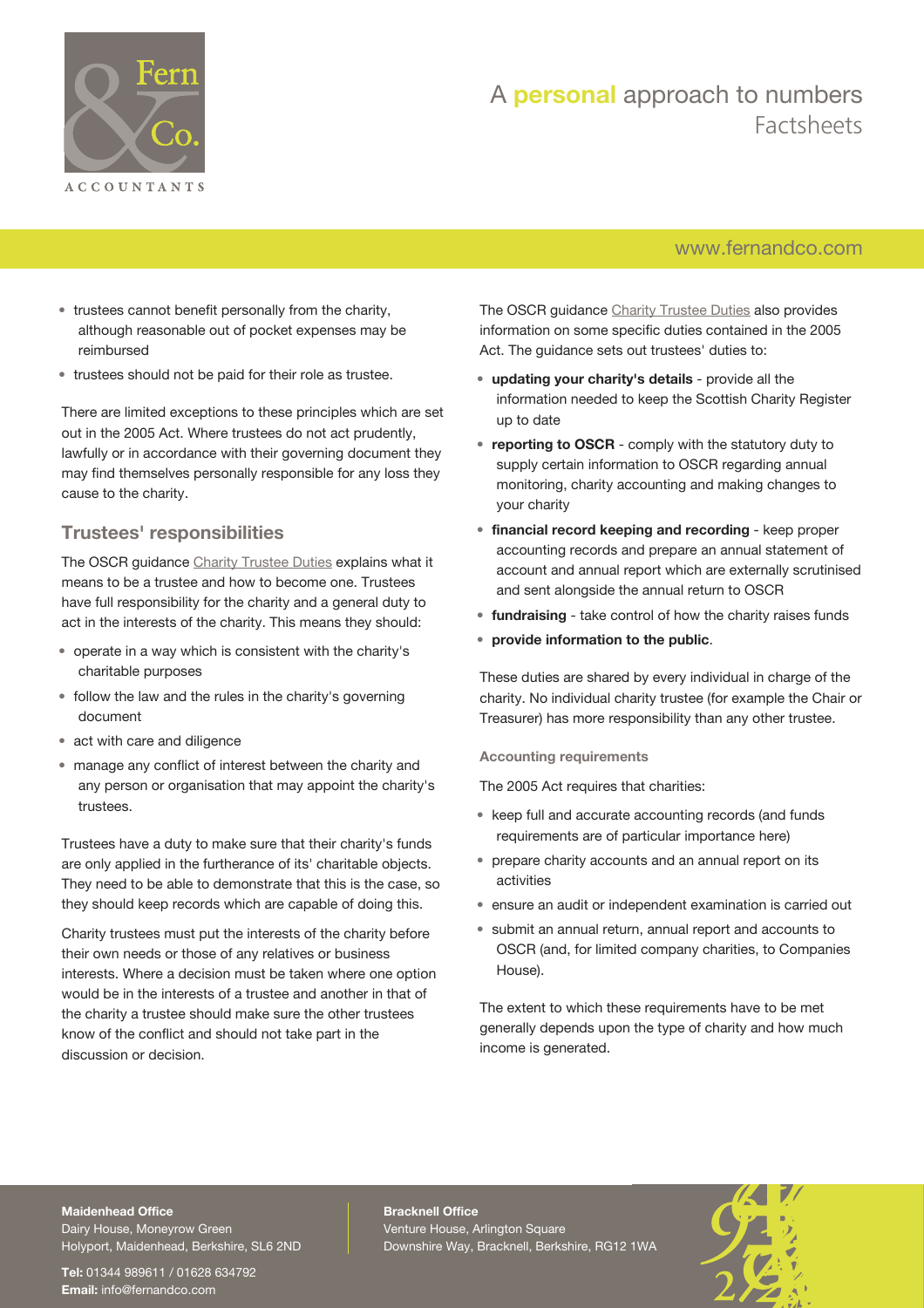

## A **personal** approach to numbers Factsheets

## [www.fernandco.com](http://www.fernandco.com)

- trustees cannot benefit personally from the charity, although reasonable out of pocket expenses may be reimbursed
- trustees should not be paid for their role as trustee.

There are limited exceptions to these principles which are set out in the 2005 Act. Where trustees do not act prudently, lawfully or in accordance with their governing document they may find themselves personally responsible for any loss they cause to the charity.

### **Trustees' responsibilities**

The OSCR guidance [Charity Trustee Duties](https://www.oscr.org.uk/managing-a-charity/trustee-duties) explains what it means to be a trustee and how to become one. Trustees have full responsibility for the charity and a general duty to act in the interests of the charity. This means they should:

- operate in a way which is consistent with the charity's charitable purposes
- follow the law and the rules in the charity's governing document
- act with care and diligence
- manage any conflict of interest between the charity and any person or organisation that may appoint the charity's trustees.

Trustees have a duty to make sure that their charity's funds are only applied in the furtherance of its' charitable objects. They need to be able to demonstrate that this is the case, so they should keep records which are capable of doing this.

Charity trustees must put the interests of the charity before their own needs or those of any relatives or business interests. Where a decision must be taken where one option would be in the interests of a trustee and another in that of the charity a trustee should make sure the other trustees know of the conflict and should not take part in the discussion or decision.

The OSCR quidance [Charity Trustee Duties](https://www.oscr.org.uk/managing-a-charity/trustee-duties) also provides information on some specific duties contained in the 2005 Act. The guidance sets out trustees' duties to:

- **updating your charity's details** provide all the information needed to keep the Scottish Charity Register up to date
- **reporting to OSCR** comply with the statutory duty to supply certain information to OSCR regarding annual monitoring, charity accounting and making changes to your charity
- **financial record keeping and recording** keep proper accounting records and prepare an annual statement of account and annual report which are externally scrutinised and sent alongside the annual return to OSCR
- **fundraising** take control of how the charity raises funds
- **provide information to the public**.

These duties are shared by every individual in charge of the charity. No individual charity trustee (for example the Chair or Treasurer) has more responsibility than any other trustee.

#### **Accounting requirements**

The 2005 Act requires that charities:

- keep full and accurate accounting records (and funds requirements are of particular importance here)
- prepare charity accounts and an annual report on its activities
- ensure an audit or independent examination is carried out
- submit an annual return, annual report and accounts to OSCR (and, for limited company charities, to Companies House).

The extent to which these requirements have to be met generally depends upon the type of charity and how much income is generated.

#### **Maidenhead Office**

Dairy House, Moneyrow Green Holyport, Maidenhead, Berkshire, SL6 2ND

**Tel:** 01344 989611 / 01628 634792 **Email:** [info@fernandco.com](mailto:info@fernandco.com)

**Bracknell Office** Venture House, Arlington Square Downshire Way, Bracknell, Berkshire, RG12 1WA